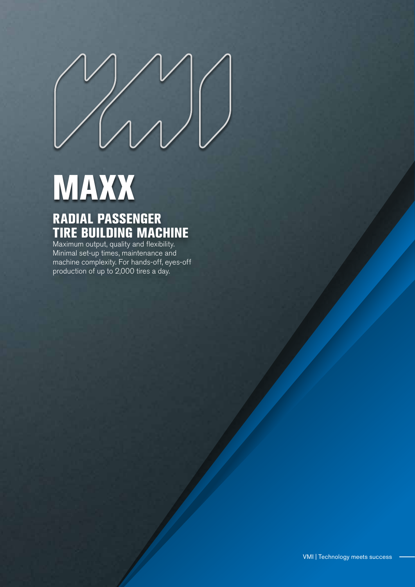# **MAXX**

## RADIAL PASSENGER TIRE BUILDING MACHINE

Maximum output, quality and flexibility. Minimal set-up times, maintenance and machine complexity. For hands-off, eyes-off production of up to 2,000 tires a day.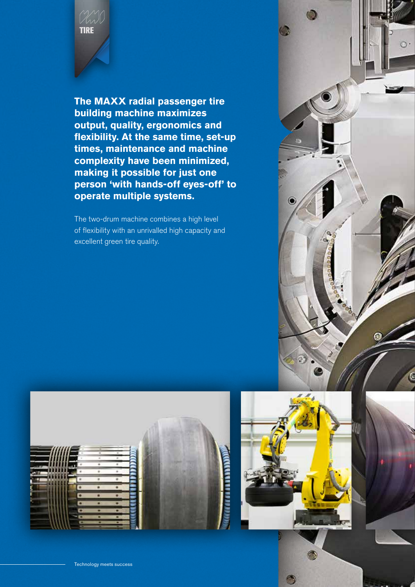

**The MAXX radial passenger tire building machine maximizes output, quality, ergonomics and flexibility. At the same time, set-up times, maintenance and machine complexity have been minimized, making it possible for just one person 'with hands-off eyes-off' to operate multiple systems.**

The two-drum machine combines a high level of flexibility with an unrivalled high capacity and excellent green tire quality.





 $\bullet$ 

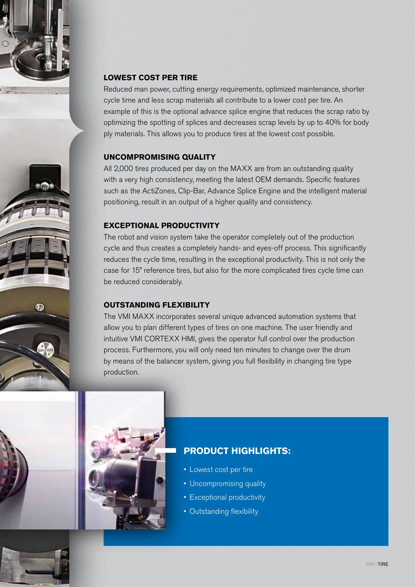



Reduced man power, cutting energy requirements, optimized maintenance, shorter cycle time and less scrap materials all contribute to a lower cost per tire. An example of this is the optional advance splice engine that reduces the scrap ratio by optimizing the spotting of splices and decreases scrap levels by up to 40% for body ply materials. This allows you to produce tires at the lowest cost possible.

#### **UNCOMPROMISING QUALITY**

All 2,000 tires produced per day on the MAXX are from an outstanding quality with a very high consistency, meeting the latest OEM demands. Specific features such as the ActiZones, Clip-Bar, Advance Splice Engine and the intelligent material positioning, result in an output of a higher quality and consistency.

#### **EXCEPTIONAL PRODUCTIVITY**

The robot and vision system take the operator completely out of the production cycle and thus creates a completely hands- and eyes-off process. This significantly reduces the cycle time, resulting in the exceptional productivity. This is not only the case for 15" reference tires, but also for the more complicated tires cycle time can be reduced considerably.

#### **OUTSTANDING FLEXIBILITY**

The VMI MAXX incorporates several unique advanced automation systems that allow you to plan different types of tires on one machine. The user friendly and intuitive VMI CORTEXX HMI, gives the operator full control over the production process. Furthermore, you will only need ten minutes to change over the drum by means of the balancer system, giving you full flexibility in changing tire type production.



### **PRODUCT HIGHLIGHTS:**

- Lowest cost per tire
- Uncompromising quality
- Exceptional productivity
- Outstanding flexibility